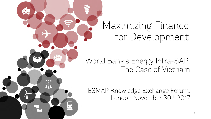# Maximizing Finance for Development

 $\frac{1}{2}$ 

#### World Bank's Energy Infra-SAP: The Case of Vietnam

ESMAP Knowledge Exchange Forum, London November 30th 2017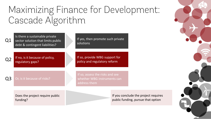## Maximizing Finance for Development: Cascade Algorithm

solutions

Is there a sustainable private sector solution that limits public debt & contingent liabilities? Q1

> If no, is it because of policy, regulatory gaps?

Q2

Q3

Or, is it because of risks?

If so, provide WBG support for policy and regulatory reform

If yes, then promote such private

If so, assess the risks and see whether WBG instruments can address them

Does the project require public funding?

If you conclude the project requires public funding, pursue that option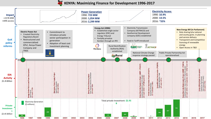#### **KENYA: Maximizing Finance for Development 1996-2017**

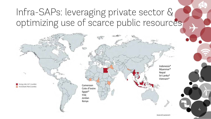#### Infra-SAPs: leveraging private sector & optimizing use of scarce public resources



4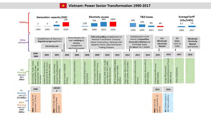**Vietnam: Power Sector Transformation 1990-2017**

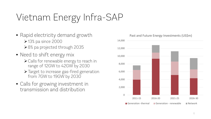# Vietnam Energy Infra-SAP

- Rapid electricity demand growth 13% pa since 2000 8% pa projected through 2035
- Need to shift energy mix
	- Calls for renewable energy to reach in range of 12GW to 42GW by 2030
	- > Target to increase gas-fired generation from 7GW to 19GW by 2030
- Calls for growing investment in transmission and distribution



Past and Future Energy Investments (US\$m)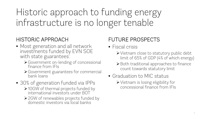Historic approach to funding energy infrastructure is no longer tenable

#### HISTORIC APPROACH

- Most generation and all network investments funded by EVN SOE with state guarantees:
	- Government on-lending of concessional finance from IFIs
	- Government guarantees for commercial bank loans
- 30% of generation funded via IPPs
	- 10GW of thermal projects funded by international investors under BOT
	- 2GW of renewables projects funded by domestic investors via local banks

#### FUTURE PROSPECTS

- Fiscal crisis
	- Vietnam close to statutory public debt limit of 65% of GDP (4% of which energy)
	- ▶ Both traditional approaches to finance count towards statutory limit
- Graduation to MIC status
	- Vietnam is losing eligibility for concessional finance from IFIs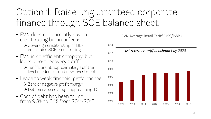#### Option 1: Raise unguaranteed corporate finance through SOE balance sheet

- EVN does not currently have a credit-rating but in process Sovereign credit-rating of BB- constrains SOE credit-rating
- EVN is an efficient company, but lacks a cost recovery tariff
	- Tariffs are at approximately half the level needed to fund new investment
- Leads to weak financial performance ▶ Zero or negative profit margin Debt service coverage approaching 1.0
- Cost of debt has been falling from 9.3% to 6.1% from 2011-2015 0.00

EVN Average Retail Tariff (US\$/kWh)

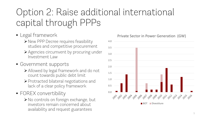## Option 2: Raise additional international capital through PPPs

- Legal framework
	- ▶ New PPP Decree requires feasibility studies and competitive procurement
	- Agencies circumvent by procuring under Investment Law
- Government supports
	- Allowed by legal framework and do not count towards public debt limit
	- $\triangleright$  Protracted bilateral negotiations and lack of a clear policy framework
- FOREX convertibility
	- ▶ No controls on foreign exchange, but investors remain concerned about availability and request guarantees



#### Private Sector in Power Generation (GW)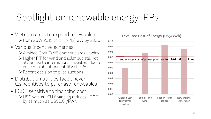# Spotlight on renewable energy IPPs

- Vietnam aims to expand renewables from 2GW 2015 to 27 (or 12) GW by 2030
- Various incentive schemes
	- Avoided Cost Tariff domestic small hydro
	- Higher FIT for wind and solar but still not attractive to international investors due to concerns about bankability of PPA  $\triangleright$  Recent decision to pilot auctions
- Distribution utilities face uneven disincentives to purchase renewables
- LCOE sensitive to financing cost US\$ versus LCU financing reduces LCOE by as much as US\$0.01/kWh



#### Levelized Cost of Energy (US\$/kWh)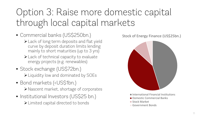### Option 3: Raise more domestic capital through local capital markets

- Commercial banks (US\$250bn.)
	- Lack of long term deposits and flat yield curve by deposit duration limits lending mainly to short maturities (up to 3 yrs)
	- Lack of technical capacity to evaluate energy projects (e.g. renewables)
- Stock exchange (US\$72bn.) Eliquidity low and dominated by SOEs
- Bond markets (<US\$1bn.)
	- Nascent market, shortage of corporates
- Institutional Investors (US\$25 bn.) Limited capital directed to bonds



- Stock Market
- Government Bonds

#### Stock of Energy Finance (US\$25bn.)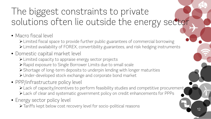### The biggest constraints to private solutions often lie outside the energy sector

- Macro fiscal level
	- Elimited fiscal space to provide further public guarantees of commercial borrowing Limited availability of FOREX, convertibility guarantees, and risk hedging instruments
- Domestic capital market level
	- Limited capacity to appraise energy sector projects
	- Rapid exposure to Single Borrower Limits due to small scale
	- Shortage of long-term deposits to underpin lending with longer maturities
	- Under-developed stock exchange and corporate bond market
- PPP/infrastructure policy level
	- Lack of capacity/incentives to perform feasibility studies and competitive procurement
	- Lack of clear and systematic government policy on credit enhancements for PPPs
- Energy sector policy level
	- Tariffs kept below cost recovery level for socio-political reasons